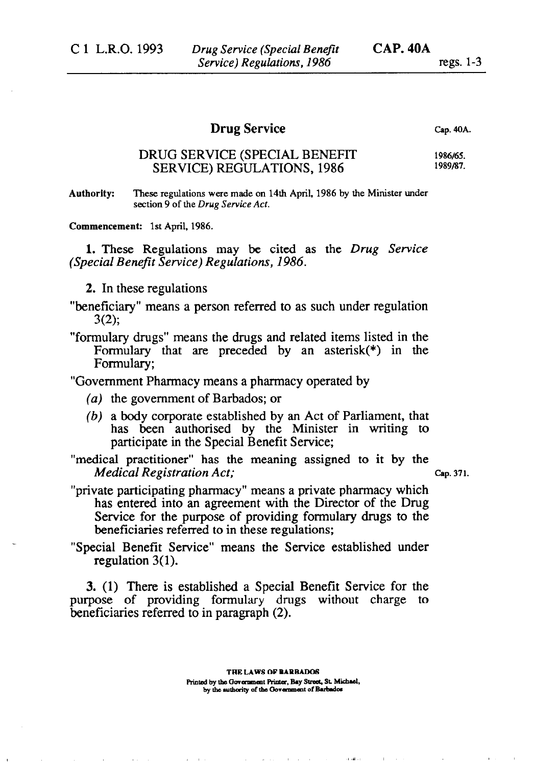## **Drug Service**

**Cap. 40A.** 

## DRUG SERVICE (SPECIAL BENEFIT SERVICE) REGULATIONS, 1986 **1986/65. 1989/87.**

**Authority: These regulations were made on 14th April, 1986 by the Minister under section 9 of the** *Drug Service Act.* 

**Commencement: 1st April, 1986.** 

1. These Regulations may be cited as the *Drug Service (Special Benefit Service) Regulations, 1986.* 

- 2. In these regulations
- "beneficiary" means a person referred to as such under regulation 3(2);
- "formulary drugs" means the drugs and related items listed in the Formulary that are preceded by an asterisk(\*) in the Formulary;

"Government Pharmacy means a pharmacy operated by

*(a)* the government of Barbados; or

 $\mathbf{y} = \mathbf{y} \cdot \mathbf{x}$  .

- *(b)* a body corporate established by an Act of Parliament, that has been authorised by the Minister in writing to participate in the Special Benefit Service;
- "medical practitioner" has the meaning assigned to it by the *Medical Registration Act;* Cap. 371.

- "private participating pharmacy" means a private pharmacy which has entered into an agreement with the Director of the Drug Service for the purpose of providing formulary drugs to the beneficiaries referred to in these regulations;
- "Special Benefit Service" means the Service established under regulation  $3(1)$ .

3. (1) There is established a Special Benefit Service for the purpose of providing formulary drugs without charge to beneficiaries referred to in paragraph (2).

 $\sim 10^{-1}$  km  $^{-1}$ 

and the con-

 $\mathbf{d}$  and  $\mathbf{d}$